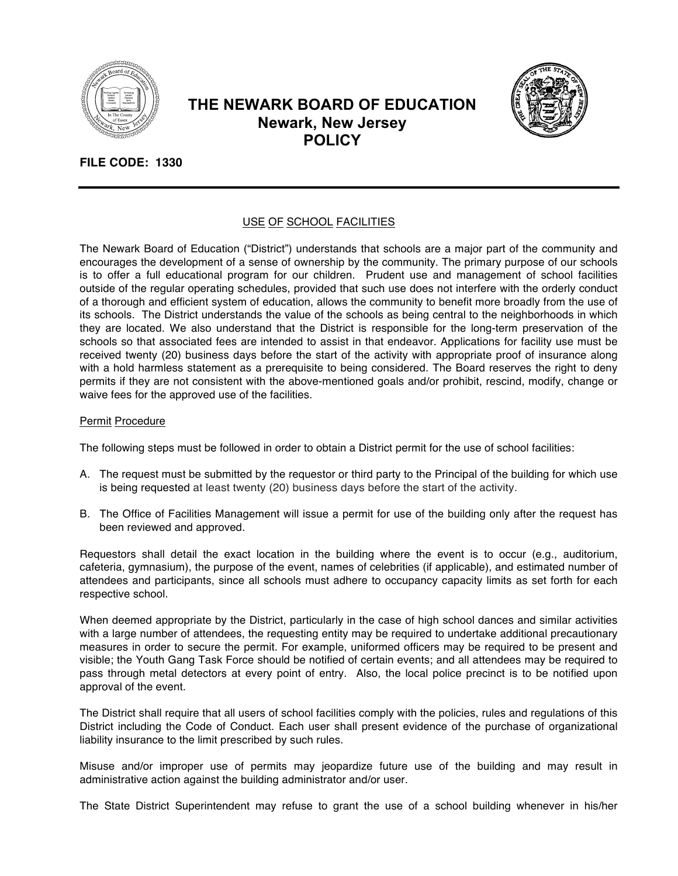

# **THE NEWARK BOARD OF EDUCATION Newark, New Jersey POLICY**



## **FILE CODE: 1330**

### USE OF SCHOOL FACILITIES

The Newark Board of Education ("District") understands that schools are a major part of the community and encourages the development of a sense of ownership by the community. The primary purpose of our schools is to offer a full educational program for our children. Prudent use and management of school facilities outside of the regular operating schedules, provided that such use does not interfere with the orderly conduct of a thorough and efficient system of education, allows the community to benefit more broadly from the use of its schools. The District understands the value of the schools as being central to the neighborhoods in which they are located. We also understand that the District is responsible for the long-term preservation of the schools so that associated fees are intended to assist in that endeavor. Applications for facility use must be received twenty (20) business days before the start of the activity with appropriate proof of insurance along with a hold harmless statement as a prerequisite to being considered. The Board reserves the right to deny permits if they are not consistent with the above-mentioned goals and/or prohibit, rescind, modify, change or waive fees for the approved use of the facilities.

#### Permit Procedure

The following steps must be followed in order to obtain a District permit for the use of school facilities:

- A. The request must be submitted by the requestor or third party to the Principal of the building for which use is being requested at least twenty (20) business days before the start of the activity.
- B. The Office of Facilities Management will issue a permit for use of the building only after the request has been reviewed and approved.

Requestors shall detail the exact location in the building where the event is to occur (e.g., auditorium, cafeteria, gymnasium), the purpose of the event, names of celebrities (if applicable), and estimated number of attendees and participants, since all schools must adhere to occupancy capacity limits as set forth for each respective school.

When deemed appropriate by the District, particularly in the case of high school dances and similar activities with a large number of attendees, the requesting entity may be required to undertake additional precautionary measures in order to secure the permit. For example, uniformed officers may be required to be present and visible; the Youth Gang Task Force should be notified of certain events; and all attendees may be required to pass through metal detectors at every point of entry. Also, the local police precinct is to be notified upon approval of the event.

The District shall require that all users of school facilities comply with the policies, rules and regulations of this District including the Code of Conduct. Each user shall present evidence of the purchase of organizational liability insurance to the limit prescribed by such rules.

Misuse and/or improper use of permits may jeopardize future use of the building and may result in administrative action against the building administrator and/or user.

The State District Superintendent may refuse to grant the use of a school building whenever in his/her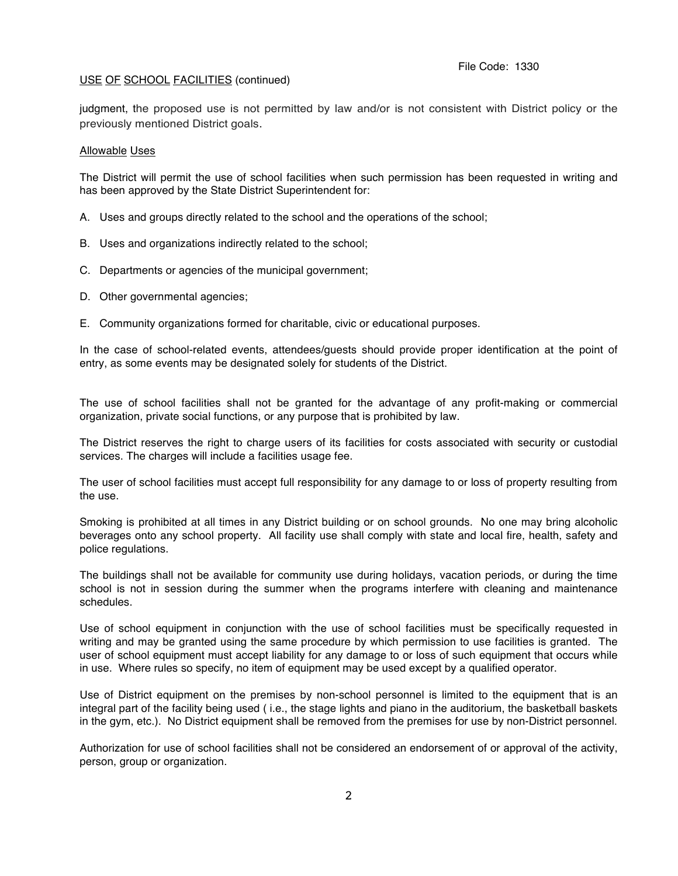#### USE OF SCHOOL FACILITIES (continued)

judgment, the proposed use is not permitted by law and/or is not consistent with District policy or the previously mentioned District goals.

#### Allowable Uses

The District will permit the use of school facilities when such permission has been requested in writing and has been approved by the State District Superintendent for:

- A. Uses and groups directly related to the school and the operations of the school;
- B. Uses and organizations indirectly related to the school;
- C. Departments or agencies of the municipal government;
- D. Other governmental agencies;
- E. Community organizations formed for charitable, civic or educational purposes.

In the case of school-related events, attendees/guests should provide proper identification at the point of entry, as some events may be designated solely for students of the District.

The use of school facilities shall not be granted for the advantage of any profit-making or commercial organization, private social functions, or any purpose that is prohibited by law.

The District reserves the right to charge users of its facilities for costs associated with security or custodial services. The charges will include a facilities usage fee.

The user of school facilities must accept full responsibility for any damage to or loss of property resulting from the use.

Smoking is prohibited at all times in any District building or on school grounds. No one may bring alcoholic beverages onto any school property. All facility use shall comply with state and local fire, health, safety and police regulations.

The buildings shall not be available for community use during holidays, vacation periods, or during the time school is not in session during the summer when the programs interfere with cleaning and maintenance schedules.

Use of school equipment in conjunction with the use of school facilities must be specifically requested in writing and may be granted using the same procedure by which permission to use facilities is granted. The user of school equipment must accept liability for any damage to or loss of such equipment that occurs while in use. Where rules so specify, no item of equipment may be used except by a qualified operator.

Use of District equipment on the premises by non-school personnel is limited to the equipment that is an integral part of the facility being used ( i.e., the stage lights and piano in the auditorium, the basketball baskets in the gym, etc.). No District equipment shall be removed from the premises for use by non-District personnel.

Authorization for use of school facilities shall not be considered an endorsement of or approval of the activity, person, group or organization.